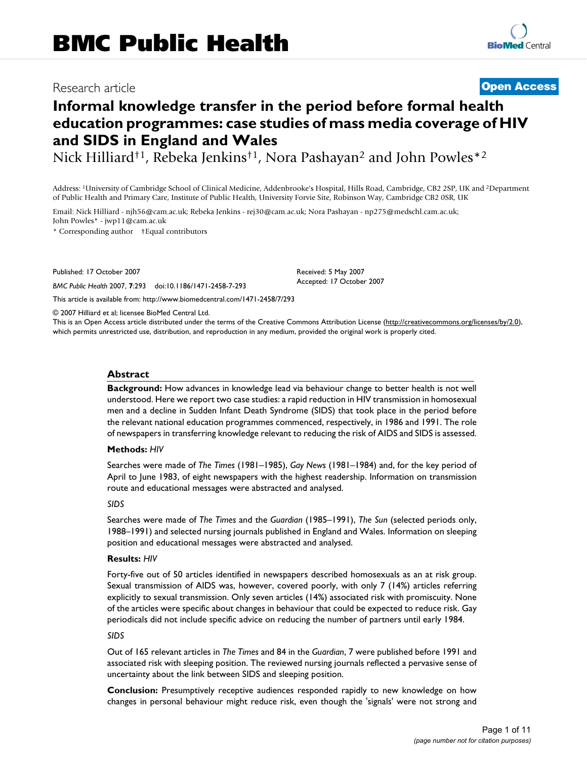# Research article **[Open Access](http://www.biomedcentral.com/info/about/charter/)**

# **Informal knowledge transfer in the period before formal health education programmes: case studies of mass media coverage of HIV and SIDS in England and Wales**

Nick Hilliard†1, Rebeka Jenkins†1, Nora Pashayan2 and John Powles\*2

Address: 1University of Cambridge School of Clinical Medicine, Addenbrooke's Hospital, Hills Road, Cambridge, CB2 2SP, UK and 2Department of Public Health and Primary Care, Institute of Public Health, University Forvie Site, Robinson Way, Cambridge CB2 0SR, UK

Email: Nick Hilliard - njh56@cam.ac.uk; Rebeka Jenkins - rej30@cam.ac.uk; Nora Pashayan - np275@medschl.cam.ac.uk; John Powles\* - jwp11@cam.ac.uk

\* Corresponding author †Equal contributors

Published: 17 October 2007

*BMC Public Health* 2007, **7**:293 doi:10.1186/1471-2458-7-293

[This article is available from: http://www.biomedcentral.com/1471-2458/7/293](http://www.biomedcentral.com/1471-2458/7/293)

© 2007 Hilliard et al; licensee BioMed Central Ltd.

This is an Open Access article distributed under the terms of the Creative Commons Attribution License [\(http://creativecommons.org/licenses/by/2.0\)](http://creativecommons.org/licenses/by/2.0), which permits unrestricted use, distribution, and reproduction in any medium, provided the original work is properly cited.

Received: 5 May 2007 Accepted: 17 October 2007

#### **Abstract**

**Background:** How advances in knowledge lead via behaviour change to better health is not well understood. Here we report two case studies: a rapid reduction in HIV transmission in homosexual men and a decline in Sudden Infant Death Syndrome (SIDS) that took place in the period before the relevant national education programmes commenced, respectively, in 1986 and 1991. The role of newspapers in transferring knowledge relevant to reducing the risk of AIDS and SIDS is assessed.

#### **Methods:** *HIV*

Searches were made of *The Times* (1981–1985), *Gay News* (1981–1984) and, for the key period of April to June 1983, of eight newspapers with the highest readership. Information on transmission route and educational messages were abstracted and analysed.

#### *SIDS*

Searches were made of *The Times* and the *Guardian* (1985–1991), *The Sun* (selected periods only, 1988–1991) and selected nursing journals published in England and Wales. Information on sleeping position and educational messages were abstracted and analysed.

#### **Results:** *HIV*

Forty-five out of 50 articles identified in newspapers described homosexuals as an at risk group. Sexual transmission of AIDS was, however, covered poorly, with only 7 (14%) articles referring explicitly to sexual transmission. Only seven articles (14%) associated risk with promiscuity. None of the articles were specific about changes in behaviour that could be expected to reduce risk. Gay periodicals did not include specific advice on reducing the number of partners until early 1984.

#### *SIDS*

Out of 165 relevant articles in *The Times* and 84 in the *Guardian*, 7 were published before 1991 and associated risk with sleeping position. The reviewed nursing journals reflected a pervasive sense of uncertainty about the link between SIDS and sleeping position.

**Conclusion:** Presumptively receptive audiences responded rapidly to new knowledge on how changes in personal behaviour might reduce risk, even though the 'signals' were not strong and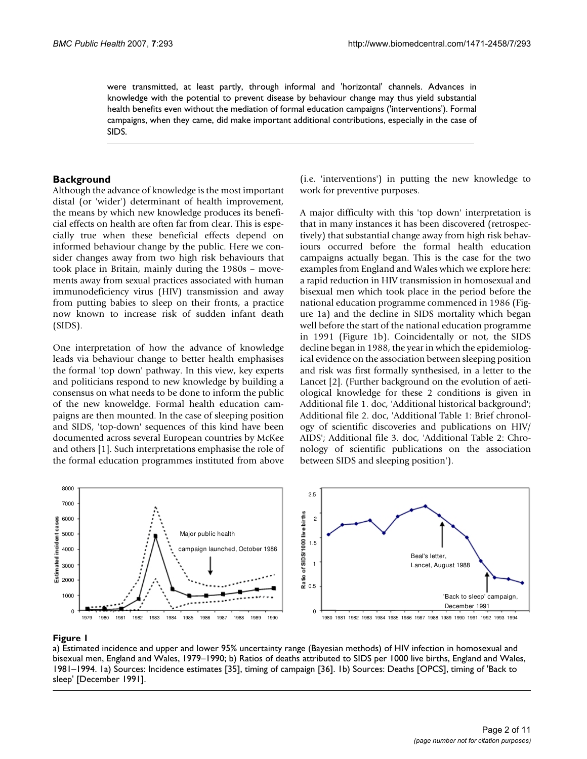were transmitted, at least partly, through informal and 'horizontal' channels. Advances in knowledge with the potential to prevent disease by behaviour change may thus yield substantial health benefits even without the mediation of formal education campaigns ('interventions'). Formal campaigns, when they came, did make important additional contributions, especially in the case of SIDS.

### **Background**

Although the advance of knowledge is the most important distal (or 'wider') determinant of health improvement, the means by which new knowledge produces its beneficial effects on health are often far from clear. This is especially true when these beneficial effects depend on informed behaviour change by the public. Here we consider changes away from two high risk behaviours that took place in Britain, mainly during the 1980s – movements away from sexual practices associated with human immunodeficiency virus (HIV) transmission and away from putting babies to sleep on their fronts, a practice now known to increase risk of sudden infant death (SIDS).

One interpretation of how the advance of knowledge leads via behaviour change to better health emphasises the formal 'top down' pathway. In this view, key experts and politicians respond to new knowledge by building a consensus on what needs to be done to inform the public of the new knoweldge. Formal health education campaigns are then mounted. In the case of sleeping position and SIDS, 'top-down' sequences of this kind have been documented across several European countries by McKee and others [1]. Such interpretations emphasise the role of the formal education programmes instituted from above (i.e. 'interventions') in putting the new knowledge to work for preventive purposes.

A major difficulty with this 'top down' interpretation is that in many instances it has been discovered (retrospectively) that substantial change away from high risk behaviours occurred before the formal health education campaigns actually began. This is the case for the two examples from England and Wales which we explore here: a rapid reduction in HIV transmission in homosexual and bisexual men which took place in the period before the national education programme commenced in 1986 (Figure 1a) and the decline in SIDS mortality which began well before the start of the national education programme in 1991 (Figure 1b). Coincidentally or not, the SIDS decline began in 1988, the year in which the epidemiological evidence on the association between sleeping position and risk was first formally synthesised, in a letter to the Lancet [2]. (Further background on the evolution of aetiological knowledge for these 2 conditions is given in Additional file 1. doc, 'Additional historical background'; Additional file 2. doc, 'Additional Table 1: Brief chronology of scientific discoveries and publications on HIV/ AIDS'; Additional file 3. doc, 'Additional Table 2: Chronology of scientific publications on the association between SIDS and sleeping position').



# a) Estimated incidence and upper and lower 95% uncertainty ra bisexual men, England and Wales, 1979–1990; b) Ratios of deaths 1981–1994 **Figure 1** nge (Bayesian methods) of HI attributed to SIDS per 1000 li V infection in homosexual and ve births, England and Wales,

a) Estimated incidence and upper and lower 95% uncertainty range (Bayesian methods) of HIV infection in homosexual and bisexual men, England and Wales, 1979–1990; b) Ratios of deaths attributed to SIDS per 1000 live births, England and Wales, 1981–1994. 1a) Sources: Incidence estimates [35], timing of campaign [36]. 1b) Sources: Deaths [OPCS], timing of 'Back to sleep' [December 1991].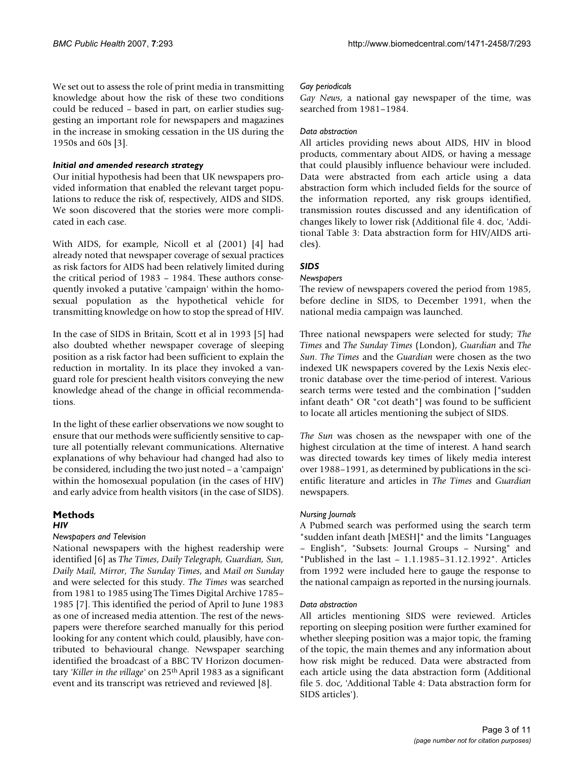We set out to assess the role of print media in transmitting knowledge about how the risk of these two conditions could be reduced – based in part, on earlier studies suggesting an important role for newspapers and magazines in the increase in smoking cessation in the US during the 1950s and 60s [3].

#### *Initial and amended research strategy*

Our initial hypothesis had been that UK newspapers provided information that enabled the relevant target populations to reduce the risk of, respectively, AIDS and SIDS. We soon discovered that the stories were more complicated in each case.

With AIDS, for example, Nicoll et al (2001) [4] had already noted that newspaper coverage of sexual practices as risk factors for AIDS had been relatively limited during the critical period of 1983 – 1984. These authors consequently invoked a putative 'campaign' within the homosexual population as the hypothetical vehicle for transmitting knowledge on how to stop the spread of HIV.

In the case of SIDS in Britain, Scott et al in 1993 [5] had also doubted whether newspaper coverage of sleeping position as a risk factor had been sufficient to explain the reduction in mortality. In its place they invoked a vanguard role for prescient health visitors conveying the new knowledge ahead of the change in official recommendations.

In the light of these earlier observations we now sought to ensure that our methods were sufficiently sensitive to capture all potentially relevant communications. Alternative explanations of why behaviour had changed had also to be considered, including the two just noted – a 'campaign' within the homosexual population (in the cases of HIV) and early advice from health visitors (in the case of SIDS).

#### **Methods** *HIV*

# *Newspapers and Television*

National newspapers with the highest readership were identified [6] as *The Times*, *Daily Telegraph, Guardian, Sun, Daily Mail, Mirror, The Sunday Times*, and *Mail on Sunday* and were selected for this study. *The Times* was searched from 1981 to 1985 using The Times Digital Archive 1785– 1985 [7]. This identified the period of April to June 1983 as one of increased media attention. The rest of the newspapers were therefore searched manually for this period looking for any content which could, plausibly, have contributed to behavioural change. Newspaper searching identified the broadcast of a BBC TV Horizon documentary *'Killer in the village'* on 25th April 1983 as a significant event and its transcript was retrieved and reviewed [8].

#### *Gay periodicals*

*Gay News*, a national gay newspaper of the time, was searched from 1981–1984.

#### *Data abstraction*

All articles providing news about AIDS, HIV in blood products, commentary about AIDS, or having a message that could plausibly influence behaviour were included. Data were abstracted from each article using a data abstraction form which included fields for the source of the information reported, any risk groups identified, transmission routes discussed and any identification of changes likely to lower risk (Additional file 4. doc, 'Additional Table 3: Data abstraction form for HIV/AIDS articles).

# *SIDS*

#### *Newspapers*

The review of newspapers covered the period from 1985, before decline in SIDS, to December 1991, when the national media campaign was launched.

Three national newspapers were selected for study; *The Times* and *The Sunday Times* (London), *Guardian* and *The Sun*. *The Times* and the *Guardian* were chosen as the two indexed UK newspapers covered by the Lexis Nexis electronic database over the time-period of interest. Various search terms were tested and the combination ["sudden infant death" OR "cot death"] was found to be sufficient to locate all articles mentioning the subject of SIDS.

*The Sun* was chosen as the newspaper with one of the highest circulation at the time of interest. A hand search was directed towards key times of likely media interest over 1988–1991, as determined by publications in the scientific literature and articles in *The Times* and *Guardian* newspapers.

#### *Nursing Journals*

A Pubmed search was performed using the search term "sudden infant death [MESH]" and the limits "Languages – English", "Subsets: Journal Groups – Nursing" and "Published in the last – 1.1.1985–31.12.1992". Articles from 1992 were included here to gauge the response to the national campaign as reported in the nursing journals.

#### *Data abstraction*

All articles mentioning SIDS were reviewed. Articles reporting on sleeping position were further examined for whether sleeping position was a major topic, the framing of the topic, the main themes and any information about how risk might be reduced. Data were abstracted from each article using the data abstraction form (Additional file 5. doc, 'Additional Table 4: Data abstraction form for SIDS articles').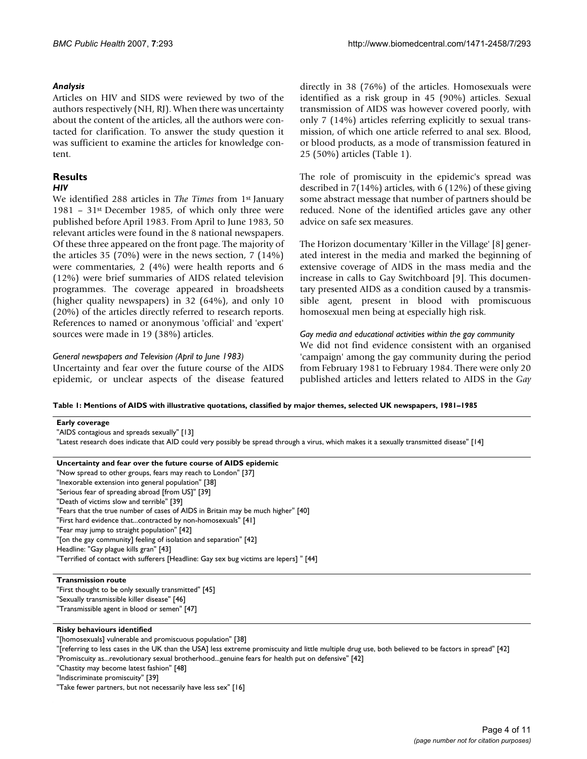# *Analysis*

Articles on HIV and SIDS were reviewed by two of the authors respectively (NH, RJ). When there was uncertainty about the content of the articles, all the authors were contacted for clarification. To answer the study question it was sufficient to examine the articles for knowledge content.

#### **Results** *HIV*

We identified 288 articles in *The Times* from 1st January 1981 – 31st December 1985, of which only three were published before April 1983. From April to June 1983, 50 relevant articles were found in the 8 national newspapers. Of these three appeared on the front page. The majority of the articles 35 (70%) were in the news section, 7 (14%) were commentaries, 2 (4%) were health reports and 6 (12%) were brief summaries of AIDS related television programmes. The coverage appeared in broadsheets (higher quality newspapers) in 32 (64%), and only 10 (20%) of the articles directly referred to research reports. References to named or anonymous 'official' and 'expert' sources were made in 19 (38%) articles.

# *General newspapers and Television (April to June 1983)*

Uncertainty and fear over the future course of the AIDS epidemic, or unclear aspects of the disease featured directly in 38 (76%) of the articles. Homosexuals were identified as a risk group in 45 (90%) articles. Sexual transmission of AIDS was however covered poorly, with only 7 (14%) articles referring explicitly to sexual transmission, of which one article referred to anal sex. Blood, or blood products, as a mode of transmission featured in 25 (50%) articles (Table 1).

The role of promiscuity in the epidemic's spread was described in 7(14%) articles, with 6 (12%) of these giving some abstract message that number of partners should be reduced. None of the identified articles gave any other advice on safe sex measures.

The Horizon documentary 'Killer in the Village' [8] generated interest in the media and marked the beginning of extensive coverage of AIDS in the mass media and the increase in calls to Gay Switchboard [9]. This documentary presented AIDS as a condition caused by a transmissible agent, present in blood with promiscuous homosexual men being at especially high risk.

*Gay media and educational activities within the gay community* We did not find evidence consistent with an organised 'campaign' among the gay community during the period from February 1981 to February 1984. There were only 20 published articles and letters related to AIDS in the *Gay*

**Table 1: Mentions of AIDS with illustrative quotations, classified by major themes, selected UK newspapers, 1981–1985**

| <b>Early coverage</b><br>"AIDS contagious and spreads sexually" [13]<br>"Latest research does indicate that AID could very possibly be spread through a virus, which makes it a sexually transmitted disease" [14]             |
|--------------------------------------------------------------------------------------------------------------------------------------------------------------------------------------------------------------------------------|
| Uncertainty and fear over the future course of AIDS epidemic                                                                                                                                                                   |
| "Now spread to other groups, fears may reach to London" [37]                                                                                                                                                                   |
| "Inexorable extension into general population" [38]                                                                                                                                                                            |
| "Serious fear of spreading abroad [from US]" [39]                                                                                                                                                                              |
| "Death of victims slow and terrible" [39]                                                                                                                                                                                      |
| "Fears that the true number of cases of AIDS in Britain may be much higher" [40]                                                                                                                                               |
| "First hard evidence thatcontracted by non-homosexuals" [41]                                                                                                                                                                   |
| "Fear may jump to straight population" [42]                                                                                                                                                                                    |
| "[on the gay community] feeling of isolation and separation" [42]                                                                                                                                                              |
| Headline: "Gay plague kills gran" [43]                                                                                                                                                                                         |
| "Terrified of contact with sufferers [Headline: Gay sex bug victims are lepers] " [44]                                                                                                                                         |
| The control of a control of the second second second second second second second second second second second second second second second second second second second second second second second second second second second s |

#### **Transmission route**

"First thought to be only sexually transmitted" [45]

"Sexually transmissible killer disease" [46]

"Transmissible agent in blood or semen" [47]

#### **Risky behaviours identified**

"[homosexuals] vulnerable and promiscuous population" [38]

"[referring to less cases in the UK than the USA] less extreme promiscuity and little multiple drug use, both believed to be factors in spread" [42]

"Promiscuity as...revolutionary sexual brotherhood...genuine fears for health put on defensive" [42]

"Chastity may become latest fashion" [48]

"Indiscriminate promiscuity" [39]

"Take fewer partners, but not necessarily have less sex" [16]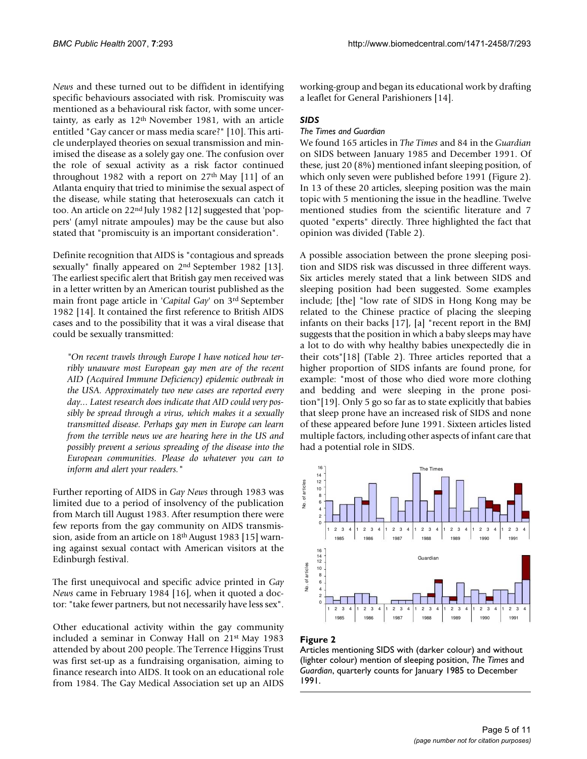*News* and these turned out to be diffident in identifying specific behaviours associated with risk. Promiscuity was mentioned as a behavioural risk factor, with some uncertainty, as early as 12th November 1981, with an article entitled "Gay cancer or mass media scare?" [10]. This article underplayed theories on sexual transmission and minimised the disease as a solely gay one. The confusion over the role of sexual activity as a risk factor continued throughout 1982 with a report on  $27<sup>th</sup>$  May [11] of an Atlanta enquiry that tried to minimise the sexual aspect of the disease, while stating that heterosexuals can catch it too. An article on 22nd July 1982 [12] suggested that 'poppers' (amyl nitrate ampoules) may be the cause but also stated that "promiscuity is an important consideration".

Definite recognition that AIDS is "contagious and spreads sexually" finally appeared on 2nd September 1982 [13]. The earliest specific alert that British gay men received was in a letter written by an American tourist published as the main front page article in '*Capital Gay*' on 3rd September 1982 [14]. It contained the first reference to British AIDS cases and to the possibility that it was a viral disease that could be sexually transmitted:

*"On recent travels through Europe I have noticed how terribly unaware most European gay men are of the recent AID (Acquired Immune Deficiency) epidemic outbreak in the USA. Approximately two new cases are reported every day... Latest research does indicate that AID could very possibly be spread through a virus, which makes it a sexually transmitted disease. Perhaps gay men in Europe can learn from the terrible news we are hearing here in the US and possibly prevent a serious spreading of the disease into the European communities. Please do whatever you can to inform and alert your readers."*

Further reporting of AIDS in *Gay News* through 1983 was limited due to a period of insolvency of the publication from March till August 1983. After resumption there were few reports from the gay community on AIDS transmission, aside from an article on 18<sup>th</sup> August 1983 [15] warning against sexual contact with American visitors at the Edinburgh festival.

The first unequivocal and specific advice printed in *Gay News* came in February 1984 [16], when it quoted a doctor: "take fewer partners, but not necessarily have less sex".

Other educational activity within the gay community included a seminar in Conway Hall on 21st May 1983 attended by about 200 people. The Terrence Higgins Trust was first set-up as a fundraising organisation, aiming to finance research into AIDS. It took on an educational role from 1984. The Gay Medical Association set up an AIDS

working-group and began its educational work by drafting a leaflet for General Parishioners [14].

### *SIDS*

#### *The Times and Guardian*

We found 165 articles in *The Times* and 84 in the *Guardian* on SIDS between January 1985 and December 1991. Of these, just 20 (8%) mentioned infant sleeping position, of which only seven were published before 1991 (Figure 2). In 13 of these 20 articles, sleeping position was the main topic with 5 mentioning the issue in the headline. Twelve mentioned studies from the scientific literature and 7 quoted "experts" directly. Three highlighted the fact that opinion was divided (Table 2).

A possible association between the prone sleeping position and SIDS risk was discussed in three different ways. Six articles merely stated that a link between SIDS and sleeping position had been suggested. Some examples include; [the] "low rate of SIDS in Hong Kong may be related to the Chinese practice of placing the sleeping infants on their backs [17], [a] "recent report in the BMJ suggests that the position in which a baby sleeps may have a lot to do with why healthy babies unexpectedly die in their cots"[18] (Table 2). Three articles reported that a higher proportion of SIDS infants are found prone, for example: "most of those who died wore more clothing and bedding and were sleeping in the prone position"[19]. Only 5 go so far as to state explicitly that babies that sleep prone have an increased risk of SIDS and none of these appeared before June 1991. Sixteen articles listed multiple factors, including other aspects of infant care that had a potential role in SIDS.



#### **Figure 2**

Articles mentioning SIDS with (darker colour) and without (lighter colour) mention of sleeping position, *The Times* and *Guardian*, quarterly counts for January 1985 to December 1991.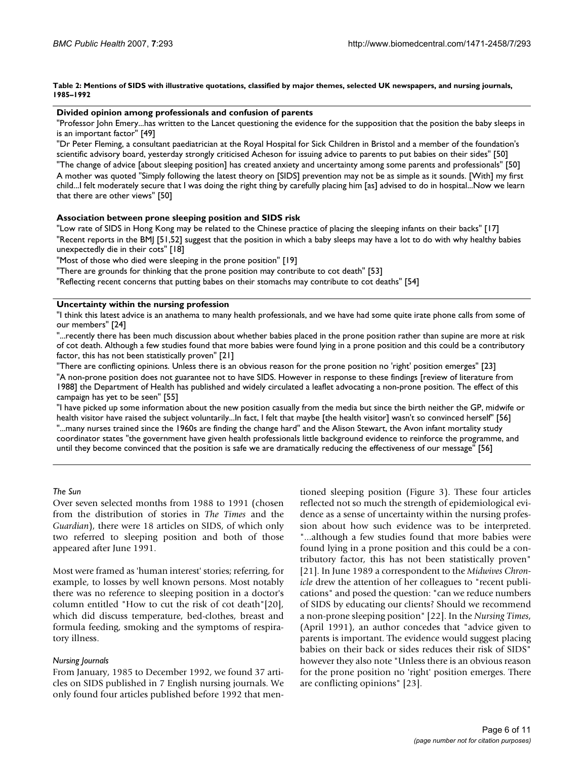**Table 2: Mentions of SIDS with illustrative quotations, classified by major themes, selected UK newspapers, and nursing journals, 1985–1992**

#### **Divided opinion among professionals and confusion of parents**

"Professor John Emery...has written to the Lancet questioning the evidence for the supposition that the position the baby sleeps in is an important factor" [49]

"Dr Peter Fleming, a consultant paediatrician at the Royal Hospital for Sick Children in Bristol and a member of the foundation's scientific advisory board, yesterday strongly criticised Acheson for issuing advice to parents to put babies on their sides" [50] "The change of advice [about sleeping position] has created anxiety and uncertainty among some parents and professionals" [50] A mother was quoted "Simply following the latest theory on [SIDS] prevention may not be as simple as it sounds. [With] my first child...I felt moderately secure that I was doing the right thing by carefully placing him [as] advised to do in hospital...Now we learn that there are other views" [50]

#### **Association between prone sleeping position and SIDS risk**

"Low rate of SIDS in Hong Kong may be related to the Chinese practice of placing the sleeping infants on their backs" [17] "Recent reports in the BMJ [51,52] suggest that the position in which a baby sleeps may have a lot to do with why healthy babies unexpectedly die in their cots" [18]

"Most of those who died were sleeping in the prone position" [19]

"There are grounds for thinking that the prone position may contribute to cot death" [53]

"Reflecting recent concerns that putting babes on their stomachs may contribute to cot deaths" [54]

#### **Uncertainty within the nursing profession**

"I think this latest advice is an anathema to many health professionals, and we have had some quite irate phone calls from some of our members" [24]

"...recently there has been much discussion about whether babies placed in the prone position rather than supine are more at risk of cot death. Although a few studies found that more babies were found lying in a prone position and this could be a contributory factor, this has not been statistically proven" [21]

"There are conflicting opinions. Unless there is an obvious reason for the prone position no 'right' position emerges" [23] "A non-prone position does not guarantee not to have SIDS. However in response to these findings [review of literature from 1988] the Department of Health has published and widely circulated a leaflet advocating a non-prone position. The effect of this campaign has yet to be seen" [55]

"I have picked up some information about the new position casually from the media but since the birth neither the GP, midwife or health visitor have raised the subject voluntarily...In fact, I felt that maybe [the health visitor] wasn't so convinced herself" [56] "...many nurses trained since the 1960s are finding the change hard" and the Alison Stewart, the Avon infant mortality study

coordinator states "the government have given health professionals little background evidence to reinforce the programme, and until they become convinced that the position is safe we are dramatically reducing the effectiveness of our message" [56]

#### *The Sun*

Over seven selected months from 1988 to 1991 (chosen from the distribution of stories in *The Times* and the *Guardian*), there were 18 articles on SIDS, of which only two referred to sleeping position and both of those appeared after June 1991.

Most were framed as 'human interest' stories; referring, for example, to losses by well known persons. Most notably there was no reference to sleeping position in a doctor's column entitled "How to cut the risk of cot death"[20], which did discuss temperature, bed-clothes, breast and formula feeding, smoking and the symptoms of respiratory illness.

#### *Nursing Journals*

From January, 1985 to December 1992, we found 37 articles on SIDS published in 7 English nursing journals. We only found four articles published before 1992 that mentioned sleeping position (Figure 3). These four articles reflected not so much the strength of epidemiological evidence as a sense of uncertainty within the nursing profession about how such evidence was to be interpreted. "...although a few studies found that more babies were found lying in a prone position and this could be a contributory factor, this has not been statistically proven" [21]. In June 1989 a correspondent to the *Midwives Chronicle* drew the attention of her colleagues to "recent publications" and posed the question: "can we reduce numbers of SIDS by educating our clients? Should we recommend a non-prone sleeping position" [22]. In the *Nursing Times*, (April 1991), an author concedes that "advice given to parents is important. The evidence would suggest placing babies on their back or sides reduces their risk of SIDS" however they also note "Unless there is an obvious reason for the prone position no 'right' position emerges. There are conflicting opinions" [23].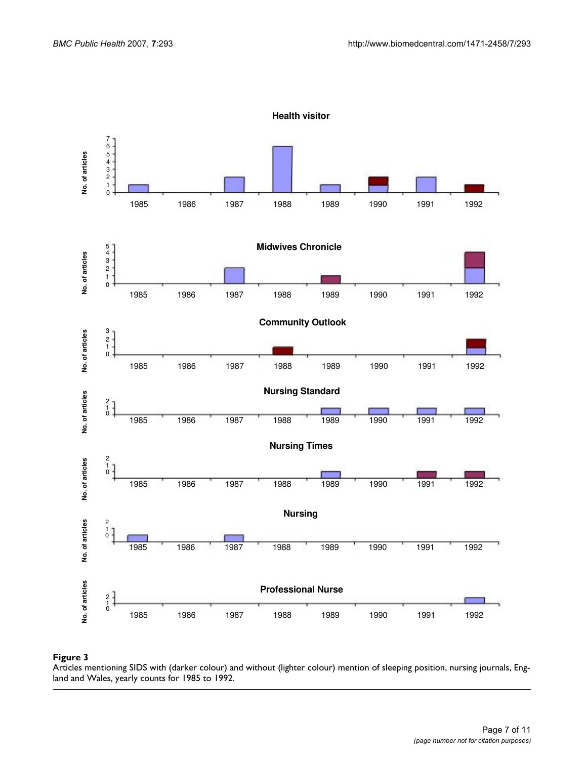

### land and Wales, yearly counts for 1985 to 1992 **Figure 3** Articles mentioning SIDS with (darker colour) and without (lighter colour) mention of sleeping position, nursing journals, Eng-

Articles mentioning SIDS with (darker colour) and without (lighter colour) mention of sleeping position, nursing journals, England and Wales, yearly counts for 1985 to 1992.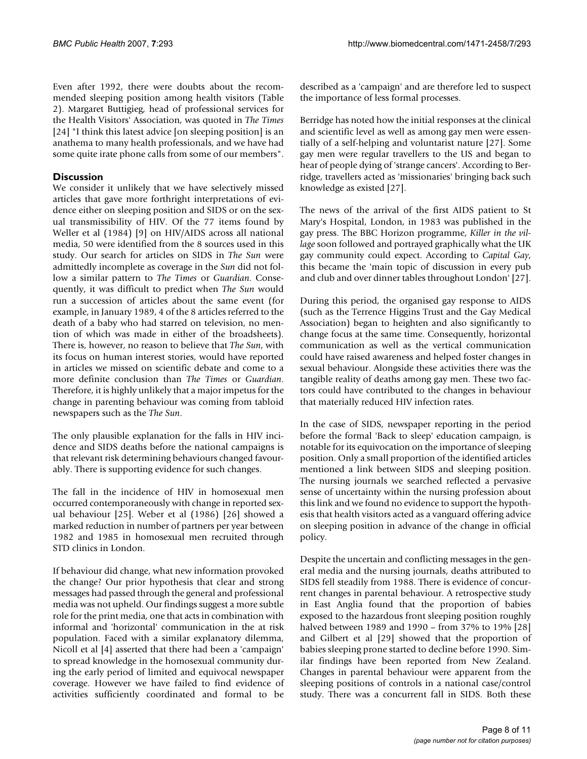Even after 1992, there were doubts about the recommended sleeping position among health visitors (Table 2). Margaret Buttigieg, head of professional services for the Health Visitors' Association, was quoted in *The Times* [24] "I think this latest advice [on sleeping position] is an anathema to many health professionals, and we have had some quite irate phone calls from some of our members".

# **Discussion**

We consider it unlikely that we have selectively missed articles that gave more forthright interpretations of evidence either on sleeping position and SIDS or on the sexual transmissibility of HIV. Of the 77 items found by Weller et al (1984) [9] on HIV/AIDS across all national media, 50 were identified from the 8 sources used in this study. Our search for articles on SIDS in *The Sun* were admittedly incomplete as coverage in the *Sun* did not follow a similar pattern to *The Times* or *Guardian*. Consequently, it was difficult to predict when *The Sun* would run a succession of articles about the same event (for example, in January 1989, 4 of the 8 articles referred to the death of a baby who had starred on television, no mention of which was made in either of the broadsheets). There is, however, no reason to believe that *The Sun*, with its focus on human interest stories, would have reported in articles we missed on scientific debate and come to a more definite conclusion than *The Times* or *Guardian*. Therefore, it is highly unlikely that a major impetus for the change in parenting behaviour was coming from tabloid newspapers such as the *The Sun*.

The only plausible explanation for the falls in HIV incidence and SIDS deaths before the national campaigns is that relevant risk determining behaviours changed favourably. There is supporting evidence for such changes.

The fall in the incidence of HIV in homosexual men occurred contemporaneously with change in reported sexual behaviour [25]. Weber et al (1986) [26] showed a marked reduction in number of partners per year between 1982 and 1985 in homosexual men recruited through STD clinics in London.

If behaviour did change, what new information provoked the change? Our prior hypothesis that clear and strong messages had passed through the general and professional media was not upheld. Our findings suggest a more subtle role for the print media, one that acts in combination with informal and 'horizontal' communication in the at risk population. Faced with a similar explanatory dilemma, Nicoll et al [4] asserted that there had been a 'campaign' to spread knowledge in the homosexual community during the early period of limited and equivocal newspaper coverage. However we have failed to find evidence of activities sufficiently coordinated and formal to be described as a 'campaign' and are therefore led to suspect the importance of less formal processes.

Berridge has noted how the initial responses at the clinical and scientific level as well as among gay men were essentially of a self-helping and voluntarist nature [27]. Some gay men were regular travellers to the US and began to hear of people dying of 'strange cancers'. According to Berridge, travellers acted as 'missionaries' bringing back such knowledge as existed [27].

The news of the arrival of the first AIDS patient to St Mary's Hospital, London, in 1983 was published in the gay press. The BBC Horizon programme, *Killer in the village* soon followed and portrayed graphically what the UK gay community could expect. According to *Capital Gay*, this became the 'main topic of discussion in every pub and club and over dinner tables throughout London' [27].

During this period, the organised gay response to AIDS (such as the Terrence Higgins Trust and the Gay Medical Association) began to heighten and also significantly to change focus at the same time. Consequently, horizontal communication as well as the vertical communication could have raised awareness and helped foster changes in sexual behaviour. Alongside these activities there was the tangible reality of deaths among gay men. These two factors could have contributed to the changes in behaviour that materially reduced HIV infection rates.

In the case of SIDS, newspaper reporting in the period before the formal 'Back to sleep' education campaign, is notable for its equivocation on the importance of sleeping position. Only a small proportion of the identified articles mentioned a link between SIDS and sleeping position. The nursing journals we searched reflected a pervasive sense of uncertainty within the nursing profession about this link and we found no evidence to support the hypothesis that health visitors acted as a vanguard offering advice on sleeping position in advance of the change in official policy.

Despite the uncertain and conflicting messages in the general media and the nursing journals, deaths attributed to SIDS fell steadily from 1988. There is evidence of concurrent changes in parental behaviour. A retrospective study in East Anglia found that the proportion of babies exposed to the hazardous front sleeping position roughly halved between 1989 and 1990 – from 37% to 19% [28] and Gilbert et al [29] showed that the proportion of babies sleeping prone started to decline before 1990. Similar findings have been reported from New Zealand. Changes in parental behaviour were apparent from the sleeping positions of controls in a national case/control study. There was a concurrent fall in SIDS. Both these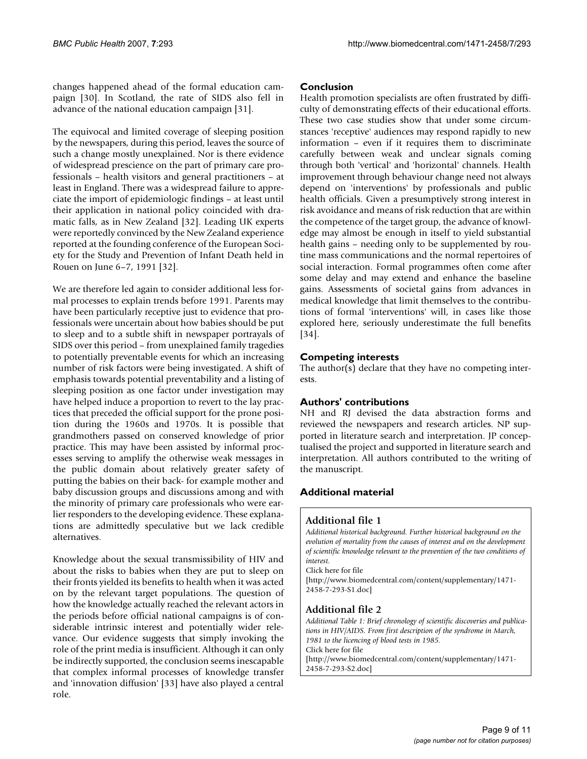changes happened ahead of the formal education campaign [30]. In Scotland, the rate of SIDS also fell in advance of the national education campaign [31].

The equivocal and limited coverage of sleeping position by the newspapers, during this period, leaves the source of such a change mostly unexplained. Nor is there evidence of widespread prescience on the part of primary care professionals – health visitors and general practitioners – at least in England. There was a widespread failure to appreciate the import of epidemiologic findings – at least until their application in national policy coincided with dramatic falls, as in New Zealand [32]. Leading UK experts were reportedly convinced by the New Zealand experience reported at the founding conference of the European Society for the Study and Prevention of Infant Death held in Rouen on June 6–7, 1991 [32].

We are therefore led again to consider additional less formal processes to explain trends before 1991. Parents may have been particularly receptive just to evidence that professionals were uncertain about how babies should be put to sleep and to a subtle shift in newspaper portrayals of SIDS over this period – from unexplained family tragedies to potentially preventable events for which an increasing number of risk factors were being investigated. A shift of emphasis towards potential preventability and a listing of sleeping position as one factor under investigation may have helped induce a proportion to revert to the lay practices that preceded the official support for the prone position during the 1960s and 1970s. It is possible that grandmothers passed on conserved knowledge of prior practice. This may have been assisted by informal processes serving to amplify the otherwise weak messages in the public domain about relatively greater safety of putting the babies on their back- for example mother and baby discussion groups and discussions among and with the minority of primary care professionals who were earlier responders to the developing evidence. These explanations are admittedly speculative but we lack credible alternatives.

Knowledge about the sexual transmissibility of HIV and about the risks to babies when they are put to sleep on their fronts yielded its benefits to health when it was acted on by the relevant target populations. The question of how the knowledge actually reached the relevant actors in the periods before official national campaigns is of considerable intrinsic interest and potentially wider relevance. Our evidence suggests that simply invoking the role of the print media is insufficient. Although it can only be indirectly supported, the conclusion seems inescapable that complex informal processes of knowledge transfer and 'innovation diffusion' [33] have also played a central role.

# **Conclusion**

Health promotion specialists are often frustrated by difficulty of demonstrating effects of their educational efforts. These two case studies show that under some circumstances 'receptive' audiences may respond rapidly to new information – even if it requires them to discriminate carefully between weak and unclear signals coming through both 'vertical' and 'horizontal' channels. Health improvement through behaviour change need not always depend on 'interventions' by professionals and public health officials. Given a presumptively strong interest in risk avoidance and means of risk reduction that are within the competence of the target group, the advance of knowledge may almost be enough in itself to yield substantial health gains – needing only to be supplemented by routine mass communications and the normal repertoires of social interaction. Formal programmes often come after some delay and may extend and enhance the baseline gains. Assessments of societal gains from advances in medical knowledge that limit themselves to the contributions of formal 'interventions' will, in cases like those explored here, seriously underestimate the full benefits [34].

# **Competing interests**

The author(s) declare that they have no competing interests.

# **Authors' contributions**

NH and RJ devised the data abstraction forms and reviewed the newspapers and research articles. NP supported in literature search and interpretation. JP conceptualised the project and supported in literature search and interpretation. All authors contributed to the writing of the manuscript.

# **Additional material**

# **Additional file 1**

*Additional historical background. Further historical background on the evolution of mortality from the causes of interest and on the development of scientific knowledge relevant to the prevention of the two conditions of interest.* Click here for file [\[http://www.biomedcentral.com/content/supplementary/1471-](http://www.biomedcentral.com/content/supplementary/1471-2458-7-293-S1.doc) 2458-7-293-S1.doc]

# **Additional file 2**

*Additional Table 1: Brief chronology of scientific discoveries and publications in HIV/AIDS. From first description of the syndrome in March, 1981 to the licencing of blood tests in 1985.* Click here for file [\[http://www.biomedcentral.com/content/supplementary/1471-](http://www.biomedcentral.com/content/supplementary/1471-2458-7-293-S2.doc) 2458-7-293-S2.doc]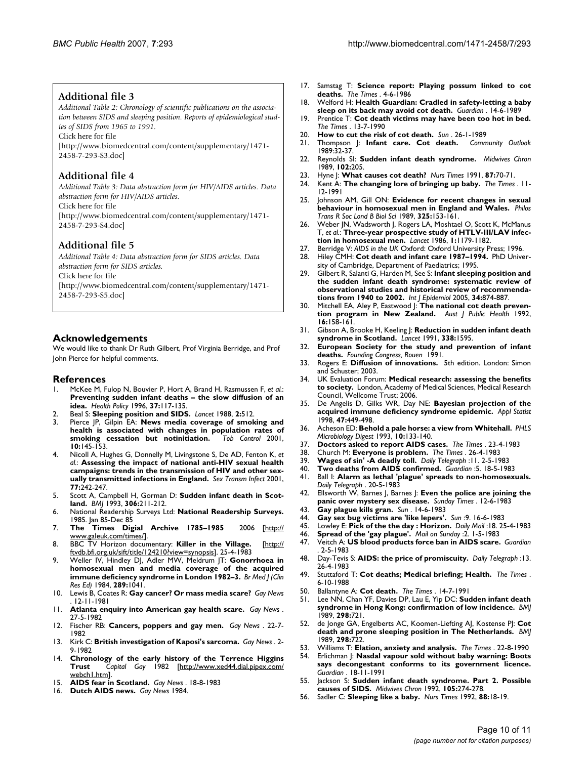#### **Additional file 3**

*Additional Table 2: Chronology of scientific publications on the association between SIDS and sleeping position. Reports of epidemiological studies of SIDS from 1965 to 1991.*

Click here for file

[\[http://www.biomedcentral.com/content/supplementary/1471-](http://www.biomedcentral.com/content/supplementary/1471-2458-7-293-S3.doc) 2458-7-293-S3.doc]

## **Additional file 4**

*Additional Table 3: Data abstraction form for HIV/AIDS articles. Data abstraction form for HIV/AIDS articles.*

Click here for file [\[http://www.biomedcentral.com/content/supplementary/1471-](http://www.biomedcentral.com/content/supplementary/1471-2458-7-293-S4.doc) 2458-7-293-S4.doc]

# **Additional file 5**

*Additional Table 4: Data abstraction form for SIDS articles. Data abstraction form for SIDS articles.* Click here for file [\[http://www.biomedcentral.com/content/supplementary/1471-](http://www.biomedcentral.com/content/supplementary/1471-2458-7-293-S5.doc) 2458-7-293-S5.doc]

### **Acknowledgements**

We would like to thank Dr Ruth Gilbert, Prof Virginia Berridge, and Prof John Pierce for helpful comments.

#### **References**

- 1. McKee M, Fulop N, Bouvier P, Hort A, Brand H, Rasmussen F, *et al.*: **[Preventing sudden infant deaths – the slow diffusion of an](http://www.ncbi.nlm.nih.gov/entrez/query.fcgi?cmd=Retrieve&db=PubMed&dopt=Abstract&list_uids=10162643) [idea.](http://www.ncbi.nlm.nih.gov/entrez/query.fcgi?cmd=Retrieve&db=PubMed&dopt=Abstract&list_uids=10162643)** *Health Policy* 1996, **37:**117-135.
- 2. Beal S: **[Sleeping position and SIDS.](http://www.ncbi.nlm.nih.gov/entrez/query.fcgi?cmd=Retrieve&db=PubMed&dopt=Abstract&list_uids=2900436)** *Lancet* 1988, **2:**512.
- 3. Pierce JP, Gilpin EA: **[News media coverage of smoking and](http://www.ncbi.nlm.nih.gov/entrez/query.fcgi?cmd=Retrieve&db=PubMed&dopt=Abstract&list_uids=11387535) [health is associated with changes in population rates of](http://www.ncbi.nlm.nih.gov/entrez/query.fcgi?cmd=Retrieve&db=PubMed&dopt=Abstract&list_uids=11387535)** [smoking cessation but notinitiation.](http://www.ncbi.nlm.nih.gov/entrez/query.fcgi?cmd=Retrieve&db=PubMed&dopt=Abstract&list_uids=11387535) **10:**145-153.
- 4. Nicoll A, Hughes G, Donnelly M, Livingstone S, De AD, Fenton K, *et al.*: **[Assessing the impact of national anti-HIV sexual health](http://www.ncbi.nlm.nih.gov/entrez/query.fcgi?cmd=Retrieve&db=PubMed&dopt=Abstract&list_uids=11463922) [campaigns: trends in the transmission of HIV and other sex](http://www.ncbi.nlm.nih.gov/entrez/query.fcgi?cmd=Retrieve&db=PubMed&dopt=Abstract&list_uids=11463922)[ually transmitted infections in England.](http://www.ncbi.nlm.nih.gov/entrez/query.fcgi?cmd=Retrieve&db=PubMed&dopt=Abstract&list_uids=11463922)** *Sex Transm Infect* 2001, **77:**242-247.
- 5. Scott A, Campbell H, Gorman D: **[Sudden infant death in Scot](http://www.ncbi.nlm.nih.gov/entrez/query.fcgi?cmd=Retrieve&db=PubMed&dopt=Abstract&list_uids=8338517)[land.](http://www.ncbi.nlm.nih.gov/entrez/query.fcgi?cmd=Retrieve&db=PubMed&dopt=Abstract&list_uids=8338517)** *BMJ* 1993, **306:**211-212.
- 6. National Readership Surveys Ltd: **National Readership Surveys.** 1985. Jan 85-Dec 85
- 7. **The Times Digial Archive 1785–1985** 2006 [[http://](http://www.galeuk.com/times/) [www.galeuk.com/times/](http://www.galeuk.com/times/)].
- 8. BBC TV Horizon documentary: **Killer in the Village.** [[http://](http://ftvdb.bfi.org.uk/sift/title/124210?view=synopsis) [ftvdb.bfi.org.uk/sift/title/124210?view=synopsis](http://ftvdb.bfi.org.uk/sift/title/124210?view=synopsis)]. 25-4-1983
- 9. Weller IV, Hindley DJ, Adler MW, Meldrum JT: **[Gonorrhoea in](http://www.ncbi.nlm.nih.gov/entrez/query.fcgi?cmd=Retrieve&db=PubMed&dopt=Abstract&list_uids=6435762) [homosexual men and media coverage of the acquired](http://www.ncbi.nlm.nih.gov/entrez/query.fcgi?cmd=Retrieve&db=PubMed&dopt=Abstract&list_uids=6435762) [immune deficiency syndrome in London 1982–3.](http://www.ncbi.nlm.nih.gov/entrez/query.fcgi?cmd=Retrieve&db=PubMed&dopt=Abstract&list_uids=6435762)** *Br Med J (Clin Res Ed)* 1984, **289:**1041.
- 10. Lewis B, Coates R: **Gay cancer? Or mass media scare?** *Gay News* . 12-11-1981
- 11. **Atlanta enquiry into American gay health scare.** *Gay News* . 27-5-1982
- 12. Fischer RB: **Cancers, poppers and gay men.** *Gay News* . 22-7- 1982
- 13. Kirk C: **British investigation of Kaposi's sarcoma.** *Gay News* . 2- 9-1982
- 14. **Chronology of the early history of the Terrence Higgins Trust** *Capital Gay* 1982 [\[http://www.xed44.dial.pipex.com/](http://www.xed44.dial.pipex.com/webch1.htm) [webch1.htm\]](http://www.xed44.dial.pipex.com/webch1.htm).
- 15. **AIDS fear in Scotland.** *Gay News* . 18-8-1983
- 16. **Dutch AIDS news.** *Gay News* 1984.
- 17. Samstag T: **Science report: Playing possum linked to cot deaths.** *The Times* . 4-6-1986
- 18. Welford H: **Health Guardian: Cradled in safety-letting a baby sleep on its back may avoid cot death.** *Guardian* . 14-6-1989
- 19. Prentice T: **Cot death victims may have been too hot in bed.** *The Times* . 13-7-1990
- 20. **How to cut the risk of cot death.** *Sun* . 26-1-1989
- 21. Thompson J: **[Infant care. Cot death.](http://www.ncbi.nlm.nih.gov/entrez/query.fcgi?cmd=Retrieve&db=PubMed&dopt=Abstract&list_uids=2591217)** *Community Outlook* 1989:32-37.
- 22. Reynolds SI: **[Sudden infant death syndrome.](http://www.ncbi.nlm.nih.gov/entrez/query.fcgi?cmd=Retrieve&db=PubMed&dopt=Abstract&list_uids=2747575)** *Midwives Chron* 1989, **102:**205.
- 23. Hyne J: **[What causes cot death?](http://www.ncbi.nlm.nih.gov/entrez/query.fcgi?cmd=Retrieve&db=PubMed&dopt=Abstract&list_uids=2020608)** *Nurs Times* 1991, **87:**70-71.
- 24. Kent A: **The changing lore of bringing up baby.** *The Times* . 11- 12-1991
- 25. Johnson AM, Gill ON: **[Evidence for recent changes in sexual](http://www.ncbi.nlm.nih.gov/entrez/query.fcgi?cmd=Retrieve&db=PubMed&dopt=Abstract&list_uids=2572014) [behaviour in homosexual men in England and Wales.](http://www.ncbi.nlm.nih.gov/entrez/query.fcgi?cmd=Retrieve&db=PubMed&dopt=Abstract&list_uids=2572014)** *Philos Trans R Soc Lond B Biol Sci* 1989, **325:**153-161.
- 26. Weber JN, Wadsworth J, Rogers LA, Moshtael O, Scott K, McManus T, *et al.*: **[Three-year prospective study of HTLV-III/LAV infec](http://www.ncbi.nlm.nih.gov/entrez/query.fcgi?cmd=Retrieve&db=PubMed&dopt=Abstract&list_uids=2871421)[tion in homosexual men.](http://www.ncbi.nlm.nih.gov/entrez/query.fcgi?cmd=Retrieve&db=PubMed&dopt=Abstract&list_uids=2871421)** *Lancet* 1986, **1:**1179-1182.
- 27. Berridge V: *AIDS in the UK* Oxford: Oxford University Press; 1996.
- Hiley CMH: Cot death and infant care 1987-1994. PhD University of Cambridge, Department of Paediatrics; 1995.
- 29. Gilbert R, Salanti G, Harden M, See S: **[Infant sleeping position and](http://www.ncbi.nlm.nih.gov/entrez/query.fcgi?cmd=Retrieve&db=PubMed&dopt=Abstract&list_uids=15843394) the sudden infant death syndrome: systematic review of [observational studies and historical review of recommenda](http://www.ncbi.nlm.nih.gov/entrez/query.fcgi?cmd=Retrieve&db=PubMed&dopt=Abstract&list_uids=15843394)[tions from 1940 to 2002.](http://www.ncbi.nlm.nih.gov/entrez/query.fcgi?cmd=Retrieve&db=PubMed&dopt=Abstract&list_uids=15843394)** *Int J Epidemiol* 2005, **34:**874-887.
- 30. Mitchell EA, Aley P, Eastwood J: **[The national cot death preven](http://www.ncbi.nlm.nih.gov/entrez/query.fcgi?cmd=Retrieve&db=PubMed&dopt=Abstract&list_uids=1391157)[tion program in New Zealand.](http://www.ncbi.nlm.nih.gov/entrez/query.fcgi?cmd=Retrieve&db=PubMed&dopt=Abstract&list_uids=1391157)** *Aust J Public Health* 1992, **16:**158-161.
- 31. Gibson A, Brooke H, Keeling J: **[Reduction in sudden infant death](http://www.ncbi.nlm.nih.gov/entrez/query.fcgi?cmd=Retrieve&db=PubMed&dopt=Abstract&list_uids=1683995) [syndrome in Scotland.](http://www.ncbi.nlm.nih.gov/entrez/query.fcgi?cmd=Retrieve&db=PubMed&dopt=Abstract&list_uids=1683995)** *Lancet* 1991, **338:**1595.
- 32. **European Society for the study and prevention of infant deaths.** *Founding Congress, Rouen* 1991.
- 33. Rogers E: **Diffusion of innovations.** 5th edition. London: Simon and Schuster; 2003.
- 34. UK Evaluation Forum: **Medical research: assessing the benefits to society.** London, Academy of Medical Sciences, Medical Research Council, Wellcome Trust; 2006.
- 35. De Angelis D, Gilks WR, Day NE: **Bayesian projection of the acquired immune deficiency syndrome epidemic.** *Appl Statist* 1998, **47:**449-498.
- 36. Acheson ED: **Behold a pale horse: a view from Whitehall.** *PHLS Microbiology Digest* 1993, **10:**133-140.
- 37. **Doctors asked to report AIDS cases.** *The Times* . 23-4-1983
- 
- 38. Church M: **Everyone is problem.** *The Times* . 26-4-1983 39. **Wages of sin' -A deadly toll.** *Daily Telegraph* :11. 2-5-1983
- 40. **Two deaths from AIDS confirmed.** *Guardian* :5. 18-5-1983
- 41. Ball I: **Alarm as lethal 'plague' spreads to non-homosexuals.** *Daily Telegraph* . 20-5-1983
- 42. Ellsworth W, Barnes J, Barnes J: **Even the police are joining the panic over mystery sex disease.** *Sunday Times* . 12-6-1983
- 43. **Gay plague kills gran.** *Sun* . 14-6-1983
- 44. **Gay sex bug victims are 'like lepers'.** *Sun* :9. 16-6-1983
- 45. Lowley E: **Pick of the the day : Horizon.** *Daily Mail* :18. 25-4-1983
- 46. **Spread of the 'gay plague'.** *Mail on Sunday* :2. 1-5-1983
- 47. Veitch A: **US blood products force ban in AIDS scare.** *Guardian* . 2-5-1983
- 48. Day-Tevis S: **AIDS: the price of promiscuity.** *Daily Telegraph* :13. 26-4-1983
- 49. Stuttaford T: **Cot deaths; Medical briefing; Health.** *The Times* . 6-10-1988
- 50. Ballantyne A: **Cot death.** *The Times* . 14-7-1991
- Lee NN, Chan YF, Davies DP, Lau E, Yip DC: [Sudden infant death](http://www.ncbi.nlm.nih.gov/entrez/query.fcgi?cmd=Retrieve&db=PubMed&dopt=Abstract&list_uids=2496820) **[syndrome in Hong Kong: confirmation of low incidence.](http://www.ncbi.nlm.nih.gov/entrez/query.fcgi?cmd=Retrieve&db=PubMed&dopt=Abstract&list_uids=2496820)** *BMJ* 1989, **298:**721.
- 52. de Jonge GA, Engelberts AC, Koomen-Liefting AJ, Kostense PJ: **[Cot](http://www.ncbi.nlm.nih.gov/entrez/query.fcgi?cmd=Retrieve&db=PubMed&dopt=Abstract&list_uids=2496821) [death and prone sleeping position in The Netherlands.](http://www.ncbi.nlm.nih.gov/entrez/query.fcgi?cmd=Retrieve&db=PubMed&dopt=Abstract&list_uids=2496821)** *BMJ* 1989, **298:**722.
- 53. Williams T: **Elation, anxiety and analysis.** *The Times* . 22-8-1990
- 54. Erlichman J: **Nasdal vapour sold without baby warning: Boots says decongestant conforms to its government licence.** *Guardian* . 18-11-1991
- 55. Jackson S: **[Sudden infant death syndrome. Part 2. Possible](http://www.ncbi.nlm.nih.gov/entrez/query.fcgi?cmd=Retrieve&db=PubMed&dopt=Abstract&list_uids=1305940) [causes of SIDS.](http://www.ncbi.nlm.nih.gov/entrez/query.fcgi?cmd=Retrieve&db=PubMed&dopt=Abstract&list_uids=1305940)** *Midwives Chron* 1992, **105:**274-278.
- 56. Sadler C: **Sleeping like a baby.** *Nurs Times* 1992, **88:**18-19.